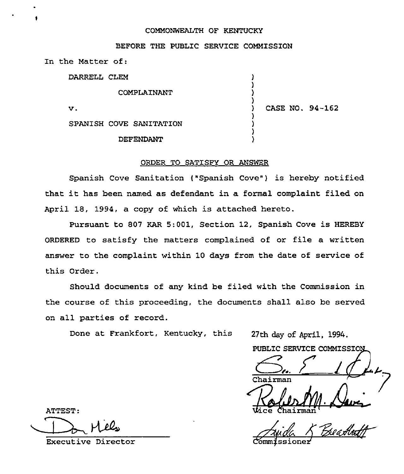## COMMONWEALTH OF KENTUCKY

|                   |                         |  |  | BEFORE THE PUBLIC SERVICE COMMISSION |                 |  |
|-------------------|-------------------------|--|--|--------------------------------------|-----------------|--|
| In the Matter of: |                         |  |  |                                      |                 |  |
| DARRELL CLEM      |                         |  |  |                                      |                 |  |
| COMPLAINANT       |                         |  |  |                                      |                 |  |
| v.                |                         |  |  |                                      | CASE NO. 94-162 |  |
|                   | SPANISH COVE SANITATION |  |  |                                      |                 |  |
|                   | DEFENDANT               |  |  |                                      |                 |  |

## ORDER TO SATISFY OR ANSWER

Spanish Cove Sanitation ("Spanish Cove") is hereby notified that it has been named as defendant in <sup>a</sup> formal complaint filed on April 18, 1994, a copy of which is attached hereto.

Pursuant to 807 KAR 5:001, Section 12, Spanish Cove is HEREBY ORDERED to satisfy the matters complained of or file a written answer to the complaint within 10 days from the date of service of this Order.

Should documents of any kind be filed with the Commission in the course of this proceeding, the documents shall also be served on all parties of record.

Done at Frankfort, Kentucky, this 27th day of April, 1994.

PUBLIC SERVICE COMMISSIO

Chairman

<u> ਯੂਟਵ</u>

ATTEST:

Executive Director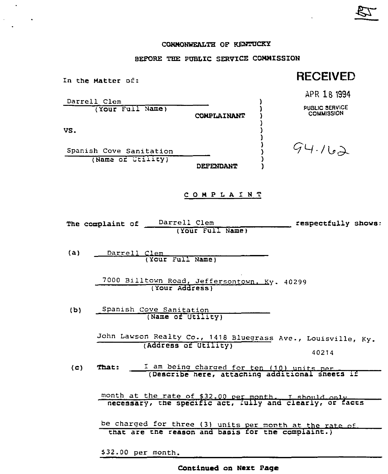## CONNONWEALTH OF KENTUCKY

स्ट

 $\sim 10$   $\mu$ 

 $\frac{1}{\sqrt{2}}\left( \frac{1}{\sqrt{2}}\right) \left( \frac{1}{\sqrt{2}}\right) \left( \frac{1}{\sqrt{2}}\right)$ 

## BEFORE THE PUBLIC SERVICE COMMISSION

| In the Matter of:                                                                                                  | <b>RECEIVED</b>     |  |  |  |  |  |  |
|--------------------------------------------------------------------------------------------------------------------|---------------------|--|--|--|--|--|--|
|                                                                                                                    | APR 18 1994         |  |  |  |  |  |  |
| Darrell Clem<br>(Your Full Name)                                                                                   | PUBLIC SERVICE      |  |  |  |  |  |  |
| CONPLAINANT                                                                                                        | <b>COMMISSION</b>   |  |  |  |  |  |  |
| VS.                                                                                                                |                     |  |  |  |  |  |  |
| Spanish Cove Sanitation                                                                                            | 94.162              |  |  |  |  |  |  |
| (Name of Utility)<br>DEFENDANT                                                                                     |                     |  |  |  |  |  |  |
| COMPLAINT                                                                                                          |                     |  |  |  |  |  |  |
| Darrell Clem<br>The complaint of<br>(Your Full Name)                                                               | respectfully shows: |  |  |  |  |  |  |
| (a)<br>Darrell Clem<br>(Your Full Name)                                                                            |                     |  |  |  |  |  |  |
| 7000 Billtown Road, Jeffersontown. Ky. 40299<br>(Your Address)                                                     |                     |  |  |  |  |  |  |
| Spanish Cove Sanitation<br>(b)<br>(Name of Utility)                                                                |                     |  |  |  |  |  |  |
| John Lawson Realty Co., 1418 Bluegrass Ave., Louisville, Ky.<br>(Address of Utility)                               | 40214               |  |  |  |  |  |  |
| I am being charged for ten (10) units per<br>(c)<br><b>That:</b><br>(Describe here, attaching additional sheets if |                     |  |  |  |  |  |  |
| month at the rate of \$32.00 per month. I should only<br>necessary, the specific act, fully and clearly, or facts  |                     |  |  |  |  |  |  |
| be charged for three (3) units per month at the rate of<br>that are the reason and basis for the complaint.)       |                     |  |  |  |  |  |  |

\$32.00 per month.

Continued on Nezt page